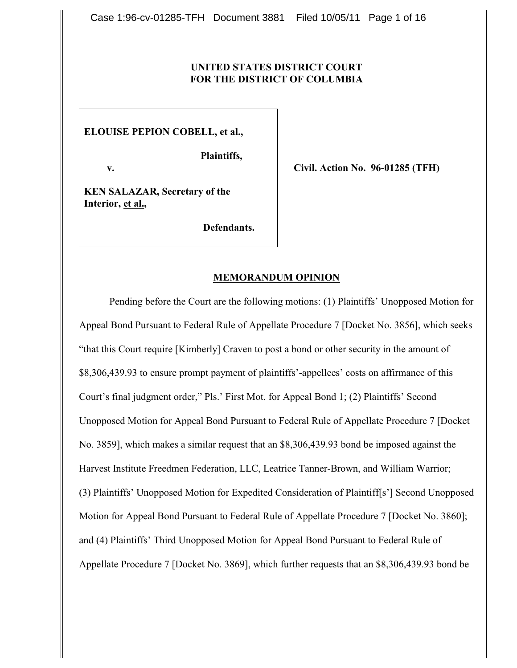# **UNITED STATES DISTRICT COURT FOR THE DISTRICT OF COLUMBIA**

**ELOUISE PEPION COBELL, et al.,** 

 **Plaintiffs,**

 **v.**

**Civil. Action No. 96-01285 (TFH)**

**KEN SALAZAR, Secretary of the Interior, et al.,**

 **Defendants.**

### **MEMORANDUM OPINION**

Pending before the Court are the following motions: (1) Plaintiffs' Unopposed Motion for Appeal Bond Pursuant to Federal Rule of Appellate Procedure 7 [Docket No. 3856], which seeks "that this Court require [Kimberly] Craven to post a bond or other security in the amount of \$8,306,439.93 to ensure prompt payment of plaintiffs'-appellees' costs on affirmance of this Court's final judgment order," Pls.' First Mot. for Appeal Bond 1; (2) Plaintiffs' Second Unopposed Motion for Appeal Bond Pursuant to Federal Rule of Appellate Procedure 7 [Docket No. 3859], which makes a similar request that an \$8,306,439.93 bond be imposed against the Harvest Institute Freedmen Federation, LLC, Leatrice Tanner-Brown, and William Warrior; (3) Plaintiffs' Unopposed Motion for Expedited Consideration of Plaintiff[s'] Second Unopposed Motion for Appeal Bond Pursuant to Federal Rule of Appellate Procedure 7 [Docket No. 3860]; and (4) Plaintiffs' Third Unopposed Motion for Appeal Bond Pursuant to Federal Rule of Appellate Procedure 7 [Docket No. 3869], which further requests that an \$8,306,439.93 bond be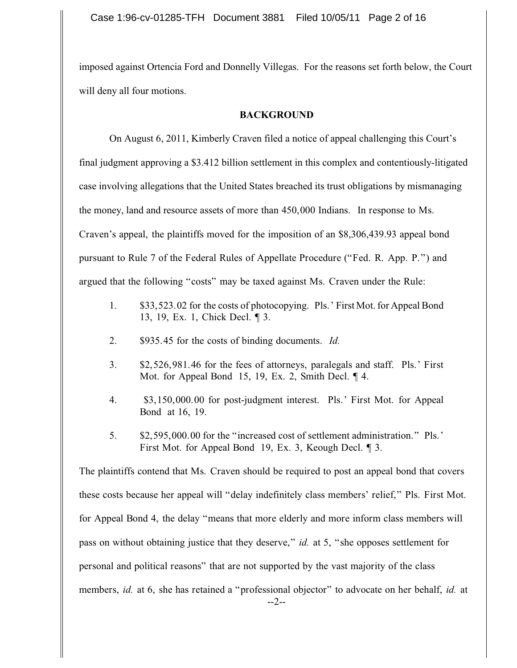imposed against Ortencia Ford and Donnelly Villegas. For the reasons set forth below, the Court will deny all four motions.

### **BACKGROUND**

On August 6, 2011, Kimberly Craven filed a notice of appeal challenging this Court's final judgment approving a \$3.412 billion settlement in this complex and contentiously-litigated case involving allegations that the United States breached its trust obligations by mismanaging the money, land and resource assets of more than 450,000 Indians. In response to Ms. Craven's appeal, the plaintiffs moved for the imposition of an \$8,306,439.93 appeal bond pursuant to Rule 7 of the Federal Rules of Appellate Procedure ("Fed. R. App. P.") and argued that the following "costs" may be taxed against Ms. Craven under the Rule:

- 1. \$33,523.02 for the costs of photocopying. Pls.' First Mot. for Appeal Bond 13, 19, Ex. 1, Chick Decl. ¶ 3.
- 2. \$935.45 for the costs of binding documents. *Id.*
- 3. \$2,526,981.46 for the fees of attorneys, paralegals and staff. Pls.' First Mot. for Appeal Bond 15, 19, Ex. 2, Smith Decl. ¶ 4.
- 4. \$3,150,000.00 for post-judgment interest. Pls.' First Mot. for Appeal Bond at 16, 19.
- 5. \$2,595,000.00 for the "increased cost of settlement administration." Pls.' First Mot. for Appeal Bond 19, Ex. 3, Keough Decl. ¶ 3.

The plaintiffs contend that Ms. Craven should be required to post an appeal bond that covers these costs because her appeal will "delay indefinitely class members' relief," Pls. First Mot. for Appeal Bond 4, the delay "means that more elderly and more inform class members will pass on without obtaining justice that they deserve," *id.* at 5, "she opposes settlement for personal and political reasons" that are not supported by the vast majority of the class members, *id.* at 6, she has retained a "professional objector" to advocate on her behalf, *id.* at --2--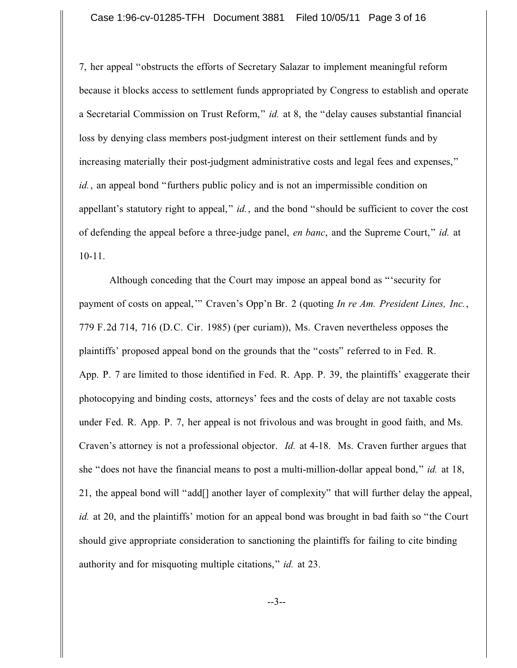7, her appeal "obstructs the efforts of Secretary Salazar to implement meaningful reform because it blocks access to settlement funds appropriated by Congress to establish and operate a Secretarial Commission on Trust Reform," *id.* at 8, the "delay causes substantial financial loss by denying class members post-judgment interest on their settlement funds and by increasing materially their post-judgment administrative costs and legal fees and expenses," *id.*, an appeal bond "furthers public policy and is not an impermissible condition on appellant's statutory right to appeal," *id.*, and the bond "should be sufficient to cover the cost of defending the appeal before a three-judge panel, *en banc*, and the Supreme Court," *id.* at 10-11.

Although conceding that the Court may impose an appeal bond as "'security for payment of costs on appeal,'" Craven's Opp'n Br. 2 (quoting *In re Am. President Lines, Inc.*, 779 F.2d 714, 716 (D.C. Cir. 1985) (per curiam)), Ms. Craven nevertheless opposes the plaintiffs' proposed appeal bond on the grounds that the "costs" referred to in Fed. R. App. P. 7 are limited to those identified in Fed. R. App. P. 39, the plaintiffs' exaggerate their photocopying and binding costs, attorneys' fees and the costs of delay are not taxable costs under Fed. R. App. P. 7, her appeal is not frivolous and was brought in good faith, and Ms. Craven's attorney is not a professional objector. *Id.* at 4-18. Ms. Craven further argues that she "does not have the financial means to post a multi-million-dollar appeal bond," *id.* at 18, 21, the appeal bond will "add[] another layer of complexity" that will further delay the appeal, *id.* at 20, and the plaintiffs' motion for an appeal bond was brought in bad faith so "the Court should give appropriate consideration to sanctioning the plaintiffs for failing to cite binding authority and for misquoting multiple citations," *id.* at 23.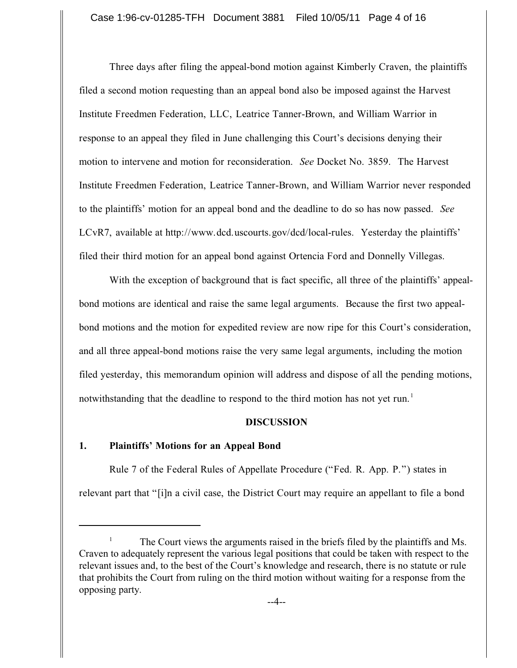Three days after filing the appeal-bond motion against Kimberly Craven, the plaintiffs filed a second motion requesting than an appeal bond also be imposed against the Harvest Institute Freedmen Federation, LLC, Leatrice Tanner-Brown, and William Warrior in response to an appeal they filed in June challenging this Court's decisions denying their motion to intervene and motion for reconsideration. *See* Docket No. 3859. The Harvest Institute Freedmen Federation, Leatrice Tanner-Brown, and William Warrior never responded to the plaintiffs' motion for an appeal bond and the deadline to do so has now passed. *See* LCvR7, available at http://www.dcd.uscourts.gov/dcd/local-rules. Yesterday the plaintiffs' filed their third motion for an appeal bond against Ortencia Ford and Donnelly Villegas.

With the exception of background that is fact specific, all three of the plaintiffs' appealbond motions are identical and raise the same legal arguments. Because the first two appealbond motions and the motion for expedited review are now ripe for this Court's consideration, and all three appeal-bond motions raise the very same legal arguments, including the motion filed yesterday, this memorandum opinion will address and dispose of all the pending motions, notwithstanding that the deadline to respond to the third motion has not yet run.<sup>1</sup>

## **DISCUSSION**

#### **1. Plaintiffs' Motions for an Appeal Bond**

Rule 7 of the Federal Rules of Appellate Procedure ("Fed. R. App. P.") states in relevant part that "[i]n a civil case, the District Court may require an appellant to file a bond

The Court views the arguments raised in the briefs filed by the plaintiffs and Ms. <sup>1</sup> Craven to adequately represent the various legal positions that could be taken with respect to the relevant issues and, to the best of the Court's knowledge and research, there is no statute or rule that prohibits the Court from ruling on the third motion without waiting for a response from the opposing party.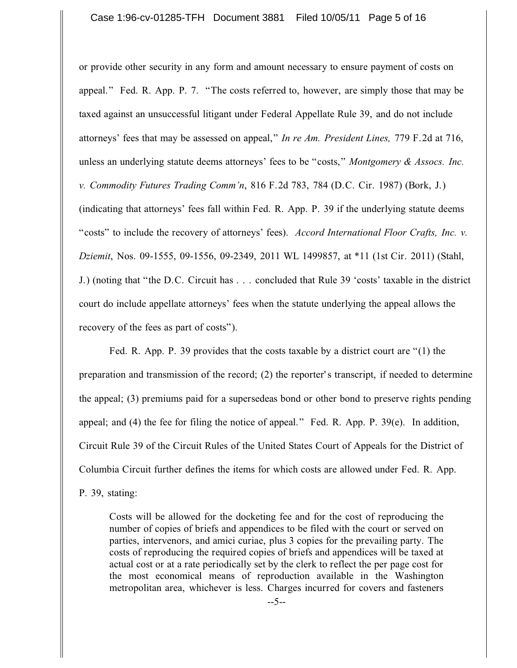or provide other security in any form and amount necessary to ensure payment of costs on appeal." Fed. R. App. P. 7. "The costs referred to, however, are simply those that may be taxed against an unsuccessful litigant under Federal Appellate Rule 39, and do not include attorneys' fees that may be assessed on appeal," *In re Am. President Lines,* 779 F.2d at 716, unless an underlying statute deems attorneys' fees to be "costs," *Montgomery & Assocs. Inc. v. Commodity Futures Trading Comm'n*, 816 F.2d 783, 784 (D.C. Cir. 1987) (Bork, J.) (indicating that attorneys' fees fall within Fed. R. App. P. 39 if the underlying statute deems "costs" to include the recovery of attorneys' fees). *Accord International Floor Crafts, Inc. v. Dziemit*, Nos. 09-1555, 09-1556, 09-2349, 2011 WL 1499857, at \*11 (1st Cir. 2011) (Stahl, J.) (noting that "the D.C. Circuit has . . . concluded that Rule 39 'costs' taxable in the district court do include appellate attorneys' fees when the statute underlying the appeal allows the recovery of the fees as part of costs").

Fed. R. App. P. 39 provides that the costs taxable by a district court are "(1) the preparation and transmission of the record; (2) the reporter's transcript, if needed to determine the appeal; (3) premiums paid for a supersedeas bond or other bond to preserve rights pending appeal; and (4) the fee for filing the notice of appeal." Fed. R. App. P. 39(e). In addition, Circuit Rule 39 of the Circuit Rules of the United States Court of Appeals for the District of Columbia Circuit further defines the items for which costs are allowed under Fed. R. App.

P. 39, stating:

Costs will be allowed for the docketing fee and for the cost of reproducing the number of copies of briefs and appendices to be filed with the court or served on parties, intervenors, and amici curiae, plus 3 copies for the prevailing party. The costs of reproducing the required copies of briefs and appendices will be taxed at actual cost or at a rate periodically set by the clerk to reflect the per page cost for the most economical means of reproduction available in the Washington metropolitan area, whichever is less. Charges incurred for covers and fasteners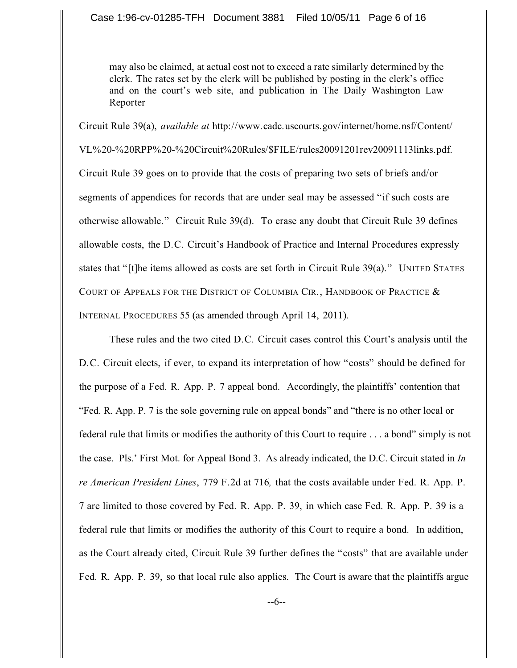may also be claimed, at actual cost not to exceed a rate similarly determined by the clerk. The rates set by the clerk will be published by posting in the clerk's office and on the court's web site, and publication in The Daily Washington Law Reporter

Circuit Rule 39(a), *available at* http://www.cadc.uscourts.gov/internet/home.nsf/Content/ VL%20-%20RPP%20-%20Circuit%20Rules/\$FILE/rules20091201rev20091113links.pdf. Circuit Rule 39 goes on to provide that the costs of preparing two sets of briefs and/or segments of appendices for records that are under seal may be assessed "if such costs are otherwise allowable." Circuit Rule 39(d). To erase any doubt that Circuit Rule 39 defines allowable costs, the D.C. Circuit's Handbook of Practice and Internal Procedures expressly states that "[t]he items allowed as costs are set forth in Circuit Rule 39(a)." UNITED STATES COURT OF APPEALS FOR THE DISTRICT OF COLUMBIA CIR., HANDBOOK OF PRACTICE  $\&$ INTERNAL PROCEDURES 55 (as amended through April 14, 2011).

These rules and the two cited D.C. Circuit cases control this Court's analysis until the D.C. Circuit elects, if ever, to expand its interpretation of how "costs" should be defined for the purpose of a Fed. R. App. P. 7 appeal bond. Accordingly, the plaintiffs' contention that "Fed. R. App. P. 7 is the sole governing rule on appeal bonds" and "there is no other local or federal rule that limits or modifies the authority of this Court to require . . . a bond" simply is not the case. Pls.' First Mot. for Appeal Bond 3. As already indicated, the D.C. Circuit stated in *In re American President Lines*, 779 F.2d at 716*,* that the costs available under Fed. R. App. P. 7 are limited to those covered by Fed. R. App. P. 39, in which case Fed. R. App. P. 39 is a federal rule that limits or modifies the authority of this Court to require a bond. In addition, as the Court already cited, Circuit Rule 39 further defines the "costs" that are available under Fed. R. App. P. 39, so that local rule also applies. The Court is aware that the plaintiffs argue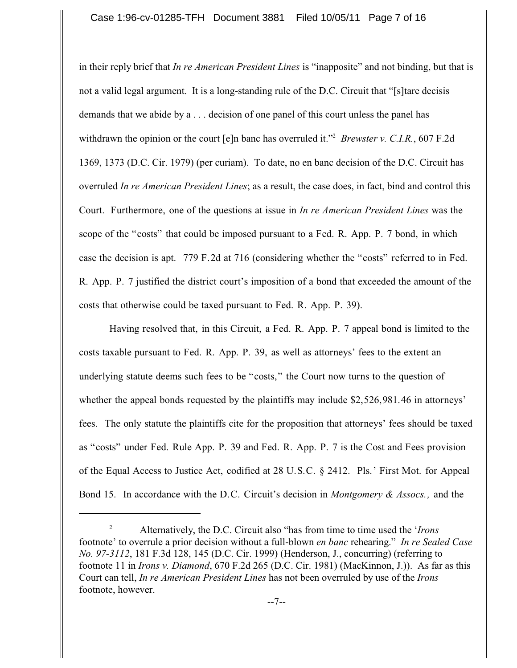in their reply brief that *In re American President Lines* is "inapposite" and not binding, but that is not a valid legal argument. It is a long-standing rule of the D.C. Circuit that "[s]tare decisis demands that we abide by a . . . decision of one panel of this court unless the panel has withdrawn the opinion or the court [e]n banc has overruled it."<sup>2</sup> Brewster v. C.I.R., 607 F.2d 1369, 1373 (D.C. Cir. 1979) (per curiam). To date, no en banc decision of the D.C. Circuit has overruled *In re American President Lines*; as a result, the case does, in fact, bind and control this Court. Furthermore, one of the questions at issue in *In re American President Lines* was the scope of the "costs" that could be imposed pursuant to a Fed. R. App. P. 7 bond, in which case the decision is apt. 779 F.2d at 716 (considering whether the "costs" referred to in Fed. R. App. P. 7 justified the district court's imposition of a bond that exceeded the amount of the costs that otherwise could be taxed pursuant to Fed. R. App. P. 39).

Having resolved that, in this Circuit, a Fed. R. App. P. 7 appeal bond is limited to the costs taxable pursuant to Fed. R. App. P. 39, as well as attorneys' fees to the extent an underlying statute deems such fees to be "costs," the Court now turns to the question of whether the appeal bonds requested by the plaintiffs may include \$2,526,981.46 in attorneys' fees. The only statute the plaintiffs cite for the proposition that attorneys' fees should be taxed as "costs" under Fed. Rule App. P. 39 and Fed. R. App. P. 7 is the Cost and Fees provision of the Equal Access to Justice Act, codified at 28 U.S.C. § 2412. Pls.' First Mot. for Appeal Bond 15. In accordance with the D.C. Circuit's decision in *Montgomery & Assocs.,* and the

Alternatively, the D.C. Circuit also "has from time to time used the '*Irons* <sup>2</sup> footnote' to overrule a prior decision without a full-blown *en banc* rehearing." *In re Sealed Case No. 97-3112*, 181 F.3d 128, 145 (D.C. Cir. 1999) (Henderson, J., concurring) (referring to footnote 11 in *Irons v. Diamond*, 670 F.2d 265 (D.C. Cir. 1981) (MacKinnon, J.)). As far as this Court can tell, *In re American President Lines* has not been overruled by use of the *Irons* footnote, however.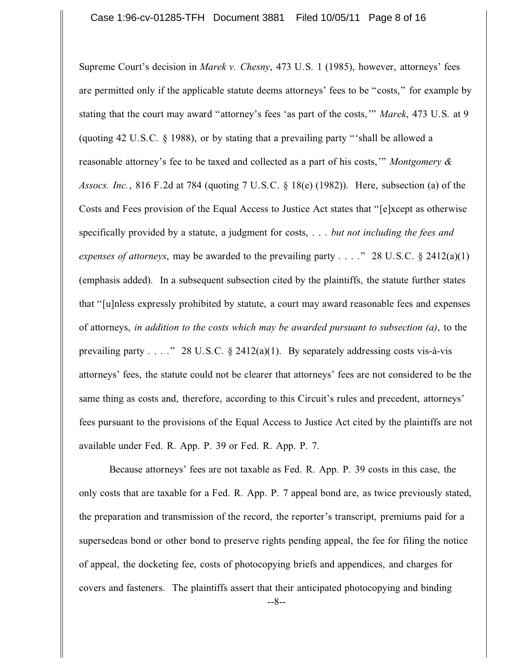Supreme Court's decision in *Marek v. Chesny*, 473 U.S. 1 (1985), however, attorneys' fees are permitted only if the applicable statute deems attorneys' fees to be "costs," for example by stating that the court may award "attorney's fees 'as part of the costs,'" *Marek*, 473 U.S. at 9 (quoting 42 U.S.C. § 1988), or by stating that a prevailing party "'shall be allowed a reasonable attorney's fee to be taxed and collected as a part of his costs,'" *Montgomery & Assocs. Inc.*, 816 F.2d at 784 (quoting 7 U.S.C. § 18(e) (1982)). Here, subsection (a) of the Costs and Fees provision of the Equal Access to Justice Act states that "[e]xcept as otherwise specifically provided by a statute, a judgment for costs, . . . *but not including the fees and expenses of attorneys*, may be awarded to the prevailing party . . . ." 28 U.S.C. § 2412(a)(1) (emphasis added). In a subsequent subsection cited by the plaintiffs, the statute further states that "[u]nless expressly prohibited by statute, a court may award reasonable fees and expenses of attorneys, *in addition to the costs which may be awarded pursuant to subsection (a)*, to the prevailing party . . . ." 28 U.S.C.  $\S$  2412(a)(1). By separately addressing costs vis-à-vis attorneys' fees, the statute could not be clearer that attorneys' fees are not considered to be the same thing as costs and, therefore, according to this Circuit's rules and precedent, attorneys' fees pursuant to the provisions of the Equal Access to Justice Act cited by the plaintiffs are not available under Fed. R. App. P. 39 or Fed. R. App. P. 7.

Because attorneys' fees are not taxable as Fed. R. App. P. 39 costs in this case, the only costs that are taxable for a Fed. R. App. P. 7 appeal bond are, as twice previously stated, the preparation and transmission of the record, the reporter's transcript, premiums paid for a supersedeas bond or other bond to preserve rights pending appeal, the fee for filing the notice of appeal, the docketing fee, costs of photocopying briefs and appendices, and charges for covers and fasteners. The plaintiffs assert that their anticipated photocopying and binding --8--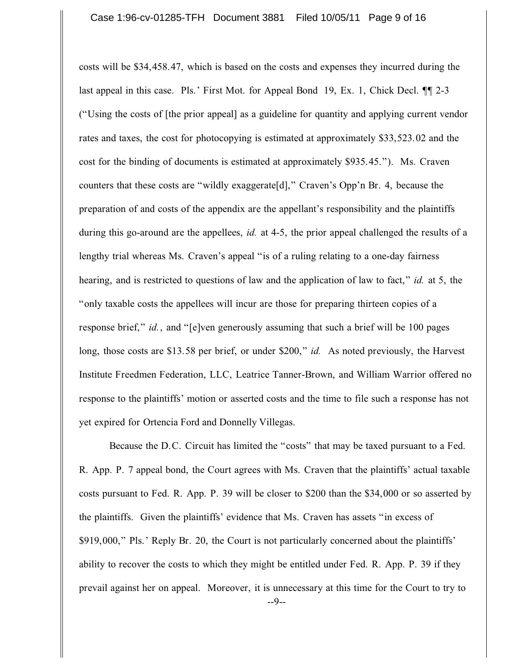costs will be \$34,458.47, which is based on the costs and expenses they incurred during the last appeal in this case. Pls.' First Mot. for Appeal Bond 19, Ex. 1, Chick Decl. ¶¶ 2-3 ("Using the costs of [the prior appeal] as a guideline for quantity and applying current vendor rates and taxes, the cost for photocopying is estimated at approximately \$33,523.02 and the cost for the binding of documents is estimated at approximately \$935.45."). Ms. Craven counters that these costs are "wildly exaggerate[d]," Craven's Opp'n Br. 4, because the preparation of and costs of the appendix are the appellant's responsibility and the plaintiffs during this go-around are the appellees, *id.* at 4-5, the prior appeal challenged the results of a lengthy trial whereas Ms. Craven's appeal "is of a ruling relating to a one-day fairness hearing, and is restricted to questions of law and the application of law to fact," *id.* at 5, the "only taxable costs the appellees will incur are those for preparing thirteen copies of a response brief," *id.*, and "[e]ven generously assuming that such a brief will be 100 pages long, those costs are \$13.58 per brief, or under \$200," *id.* As noted previously, the Harvest Institute Freedmen Federation, LLC, Leatrice Tanner-Brown, and William Warrior offered no response to the plaintiffs' motion or asserted costs and the time to file such a response has not yet expired for Ortencia Ford and Donnelly Villegas.

Because the D.C. Circuit has limited the "costs" that may be taxed pursuant to a Fed. R. App. P. 7 appeal bond, the Court agrees with Ms. Craven that the plaintiffs' actual taxable costs pursuant to Fed. R. App. P. 39 will be closer to \$200 than the \$34,000 or so asserted by the plaintiffs. Given the plaintiffs' evidence that Ms. Craven has assets "in excess of \$919,000," Pls.' Reply Br. 20, the Court is not particularly concerned about the plaintiffs' ability to recover the costs to which they might be entitled under Fed. R. App. P. 39 if they prevail against her on appeal. Moreover, it is unnecessary at this time for the Court to try to --9--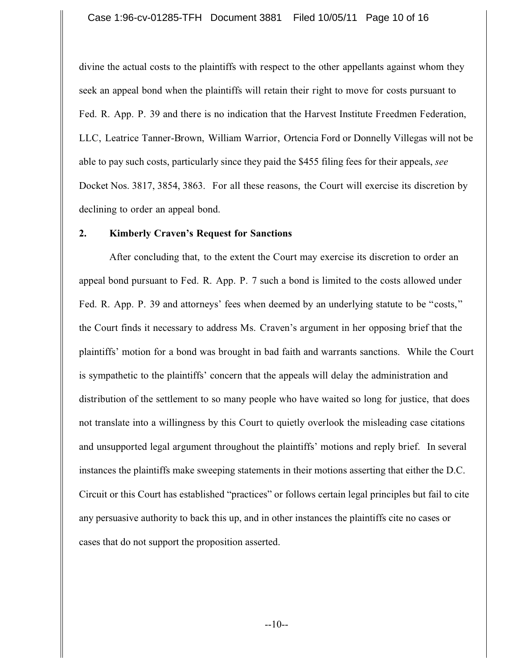divine the actual costs to the plaintiffs with respect to the other appellants against whom they seek an appeal bond when the plaintiffs will retain their right to move for costs pursuant to Fed. R. App. P. 39 and there is no indication that the Harvest Institute Freedmen Federation, LLC, Leatrice Tanner-Brown, William Warrior, Ortencia Ford or Donnelly Villegas will not be able to pay such costs, particularly since they paid the \$455 filing fees for their appeals, *see* Docket Nos. 3817, 3854, 3863. For all these reasons, the Court will exercise its discretion by declining to order an appeal bond.

#### **2. Kimberly Craven's Request for Sanctions**

After concluding that, to the extent the Court may exercise its discretion to order an appeal bond pursuant to Fed. R. App. P. 7 such a bond is limited to the costs allowed under Fed. R. App. P. 39 and attorneys' fees when deemed by an underlying statute to be "costs," the Court finds it necessary to address Ms. Craven's argument in her opposing brief that the plaintiffs' motion for a bond was brought in bad faith and warrants sanctions. While the Court is sympathetic to the plaintiffs' concern that the appeals will delay the administration and distribution of the settlement to so many people who have waited so long for justice, that does not translate into a willingness by this Court to quietly overlook the misleading case citations and unsupported legal argument throughout the plaintiffs' motions and reply brief. In several instances the plaintiffs make sweeping statements in their motions asserting that either the D.C. Circuit or this Court has established "practices" or follows certain legal principles but fail to cite any persuasive authority to back this up, and in other instances the plaintiffs cite no cases or cases that do not support the proposition asserted.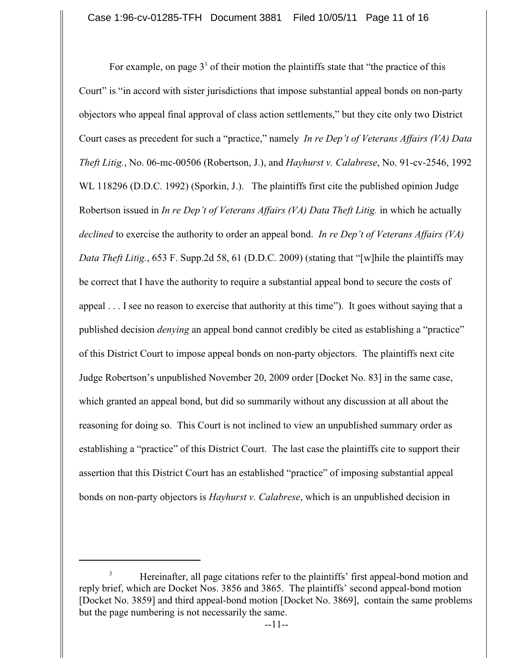For example, on page  $3<sup>3</sup>$  of their motion the plaintiffs state that "the practice of this Court" is "in accord with sister jurisdictions that impose substantial appeal bonds on non-party objectors who appeal final approval of class action settlements," but they cite only two District Court cases as precedent for such a "practice," namely *In re Dep't of Veterans Affairs (VA) Data Theft Litig.*, No. 06-mc-00506 (Robertson, J.), and *Hayhurst v. Calabrese*, No. 91-cv-2546, 1992 WL 118296 (D.D.C. 1992) (Sporkin, J.). The plaintiffs first cite the published opinion Judge Robertson issued in *In re Dep't of Veterans Affairs (VA) Data Theft Litig.* in which he actually *declined* to exercise the authority to order an appeal bond. *In re Dep't of Veterans Affairs (VA) Data Theft Litig.*, 653 F. Supp.2d 58, 61 (D.D.C. 2009) (stating that "[w]hile the plaintiffs may be correct that I have the authority to require a substantial appeal bond to secure the costs of appeal . . . I see no reason to exercise that authority at this time"). It goes without saying that a published decision *denying* an appeal bond cannot credibly be cited as establishing a "practice" of this District Court to impose appeal bonds on non-party objectors. The plaintiffs next cite Judge Robertson's unpublished November 20, 2009 order [Docket No. 83] in the same case, which granted an appeal bond, but did so summarily without any discussion at all about the reasoning for doing so. This Court is not inclined to view an unpublished summary order as establishing a "practice" of this District Court. The last case the plaintiffs cite to support their assertion that this District Court has an established "practice" of imposing substantial appeal bonds on non-party objectors is *Hayhurst v. Calabrese*, which is an unpublished decision in

<sup>&</sup>lt;sup>3</sup> Hereinafter, all page citations refer to the plaintiffs' first appeal-bond motion and reply brief, which are Docket Nos. 3856 and 3865. The plaintiffs' second appeal-bond motion [Docket No. 3859] and third appeal-bond motion [Docket No. 3869], contain the same problems but the page numbering is not necessarily the same.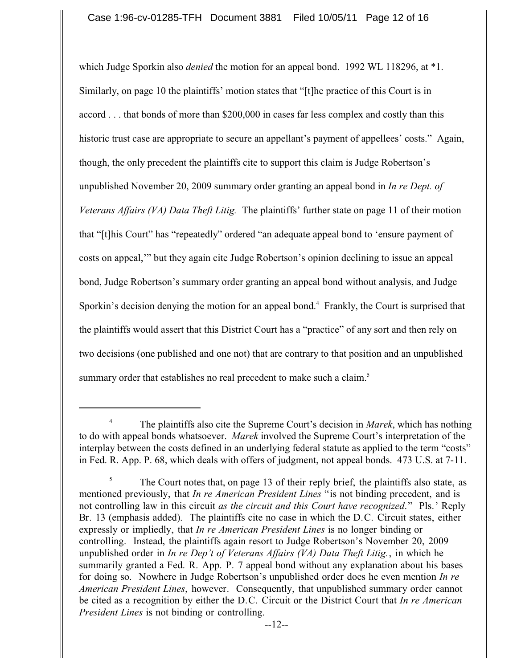which Judge Sporkin also *denied* the motion for an appeal bond. 1992 WL 118296, at \*1. Similarly, on page 10 the plaintiffs' motion states that "[t]he practice of this Court is in accord . . . that bonds of more than \$200,000 in cases far less complex and costly than this historic trust case are appropriate to secure an appellant's payment of appellees' costs." Again, though, the only precedent the plaintiffs cite to support this claim is Judge Robertson's unpublished November 20, 2009 summary order granting an appeal bond in *In re Dept. of Veterans Affairs (VA) Data Theft Litig.* The plaintiffs' further state on page 11 of their motion that "[t]his Court" has "repeatedly" ordered "an adequate appeal bond to 'ensure payment of costs on appeal,'" but they again cite Judge Robertson's opinion declining to issue an appeal bond, Judge Robertson's summary order granting an appeal bond without analysis, and Judge Sporkin's decision denying the motion for an appeal bond.<sup>4</sup> Frankly, the Court is surprised that the plaintiffs would assert that this District Court has a "practice" of any sort and then rely on two decisions (one published and one not) that are contrary to that position and an unpublished summary order that establishes no real precedent to make such a claim.<sup>5</sup>

The plaintiffs also cite the Supreme Court's decision in *Marek*, which has nothing <sup>4</sup> to do with appeal bonds whatsoever. *Marek* involved the Supreme Court's interpretation of the interplay between the costs defined in an underlying federal statute as applied to the term "costs" in Fed. R. App. P. 68, which deals with offers of judgment, not appeal bonds. 473 U.S. at 7-11.

The Court notes that, on page 13 of their reply brief, the plaintiffs also state, as mentioned previously, that *In re American President Lines* "is not binding precedent, and is not controlling law in this circuit *as the circuit and this Court have recognized*." Pls.' Reply Br. 13 (emphasis added). The plaintiffs cite no case in which the D.C. Circuit states, either expressly or impliedly, that *In re American President Lines* is no longer binding or controlling. Instead, the plaintiffs again resort to Judge Robertson's November 20, 2009 unpublished order in *In re Dep't of Veterans Affairs (VA) Data Theft Litig.*, in which he summarily granted a Fed. R. App. P. 7 appeal bond without any explanation about his bases for doing so. Nowhere in Judge Robertson's unpublished order does he even mention *In re American President Lines*, however. Consequently, that unpublished summary order cannot be cited as a recognition by either the D.C. Circuit or the District Court that *In re American President Lines* is not binding or controlling.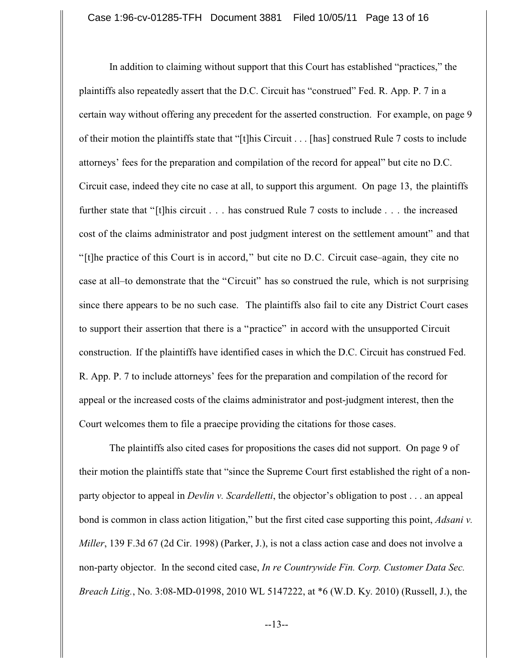In addition to claiming without support that this Court has established "practices," the plaintiffs also repeatedly assert that the D.C. Circuit has "construed" Fed. R. App. P. 7 in a certain way without offering any precedent for the asserted construction. For example, on page 9 of their motion the plaintiffs state that "[t]his Circuit . . . [has] construed Rule 7 costs to include attorneys' fees for the preparation and compilation of the record for appeal" but cite no D.C. Circuit case, indeed they cite no case at all, to support this argument. On page 13, the plaintiffs further state that "[t]his circuit . . . has construed Rule 7 costs to include . . . the increased cost of the claims administrator and post judgment interest on the settlement amount" and that "[t]he practice of this Court is in accord," but cite no D.C. Circuit case–again, they cite no case at all–to demonstrate that the "Circuit" has so construed the rule, which is not surprising since there appears to be no such case. The plaintiffs also fail to cite any District Court cases to support their assertion that there is a "practice" in accord with the unsupported Circuit construction. If the plaintiffs have identified cases in which the D.C. Circuit has construed Fed. R. App. P. 7 to include attorneys' fees for the preparation and compilation of the record for appeal or the increased costs of the claims administrator and post-judgment interest, then the Court welcomes them to file a praecipe providing the citations for those cases.

The plaintiffs also cited cases for propositions the cases did not support. On page 9 of their motion the plaintiffs state that "since the Supreme Court first established the right of a nonparty objector to appeal in *Devlin v. Scardelletti*, the objector's obligation to post . . . an appeal bond is common in class action litigation," but the first cited case supporting this point, *Adsani v. Miller*, 139 F.3d 67 (2d Cir. 1998) (Parker, J.), is not a class action case and does not involve a non-party objector. In the second cited case, *In re Countrywide Fin. Corp. Customer Data Sec. Breach Litig.*, No. 3:08-MD-01998, 2010 WL 5147222, at \*6 (W.D. Ky. 2010) (Russell, J.), the

--13--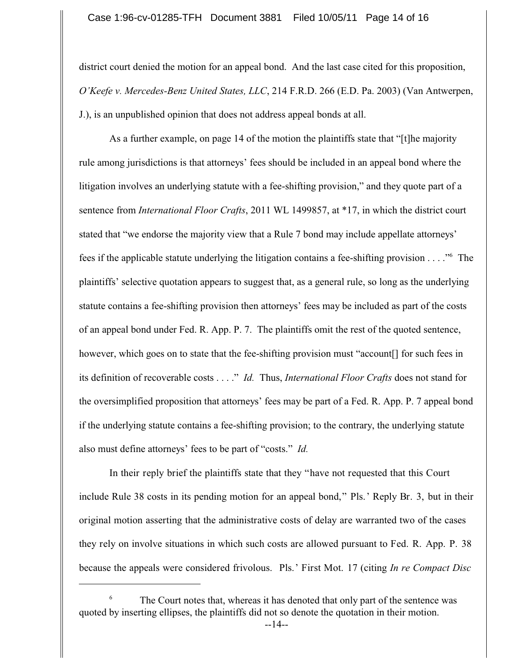district court denied the motion for an appeal bond. And the last case cited for this proposition, *O'Keefe v. Mercedes-Benz United States, LLC*, 214 F.R.D. 266 (E.D. Pa. 2003) (Van Antwerpen, J.), is an unpublished opinion that does not address appeal bonds at all.

As a further example, on page 14 of the motion the plaintiffs state that "[t]he majority rule among jurisdictions is that attorneys' fees should be included in an appeal bond where the litigation involves an underlying statute with a fee-shifting provision," and they quote part of a sentence from *International Floor Crafts*, 2011 WL 1499857, at \*17, in which the district court stated that "we endorse the majority view that a Rule 7 bond may include appellate attorneys' fees if the applicable statute underlying the litigation contains a fee-shifting provision  $\dots$ ." The plaintiffs' selective quotation appears to suggest that, as a general rule, so long as the underlying statute contains a fee-shifting provision then attorneys' fees may be included as part of the costs of an appeal bond under Fed. R. App. P. 7. The plaintiffs omit the rest of the quoted sentence, however, which goes on to state that the fee-shifting provision must "account. I for such fees in its definition of recoverable costs . . . ." *Id.* Thus, *International Floor Crafts* does not stand for the oversimplified proposition that attorneys' fees may be part of a Fed. R. App. P. 7 appeal bond if the underlying statute contains a fee-shifting provision; to the contrary, the underlying statute also must define attorneys' fees to be part of "costs." *Id.*

In their reply brief the plaintiffs state that they "have not requested that this Court include Rule 38 costs in its pending motion for an appeal bond," Pls.' Reply Br. 3, but in their original motion asserting that the administrative costs of delay are warranted two of the cases they rely on involve situations in which such costs are allowed pursuant to Fed. R. App. P. 38 because the appeals were considered frivolous. Pls.' First Mot. 17 (citing *In re Compact Disc*

The Court notes that, whereas it has denoted that only part of the sentence was 6 quoted by inserting ellipses, the plaintiffs did not so denote the quotation in their motion.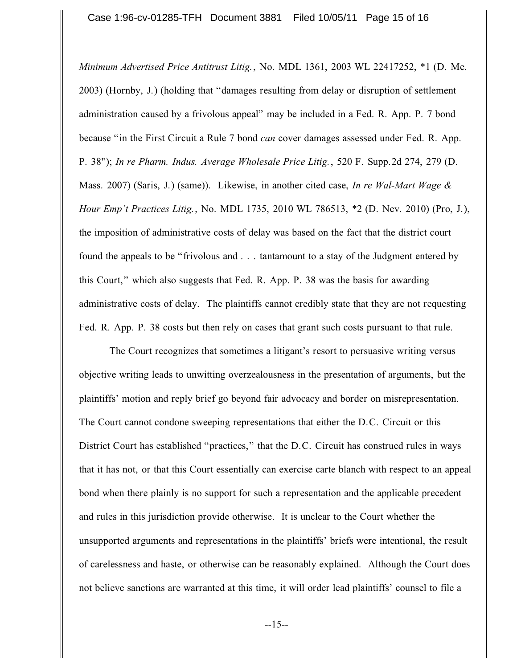*Minimum Advertised Price Antitrust Litig.*, No. MDL 1361, 2003 WL 22417252, \*1 (D. Me. 2003) (Hornby, J.) (holding that "damages resulting from delay or disruption of settlement administration caused by a frivolous appeal" may be included in a Fed. R. App. P. 7 bond because "in the First Circuit a Rule 7 bond *can* cover damages assessed under Fed. R. App. P. 38"); *In re Pharm. Indus. Average Wholesale Price Litig.*, 520 F. Supp.2d 274, 279 (D. Mass. 2007) (Saris, J.) (same)). Likewise, in another cited case, *In re Wal-Mart Wage & Hour Emp't Practices Litig.*, No. MDL 1735, 2010 WL 786513, \*2 (D. Nev. 2010) (Pro, J.), the imposition of administrative costs of delay was based on the fact that the district court found the appeals to be "frivolous and . . . tantamount to a stay of the Judgment entered by this Court," which also suggests that Fed. R. App. P. 38 was the basis for awarding administrative costs of delay. The plaintiffs cannot credibly state that they are not requesting Fed. R. App. P. 38 costs but then rely on cases that grant such costs pursuant to that rule.

The Court recognizes that sometimes a litigant's resort to persuasive writing versus objective writing leads to unwitting overzealousness in the presentation of arguments, but the plaintiffs' motion and reply brief go beyond fair advocacy and border on misrepresentation. The Court cannot condone sweeping representations that either the D.C. Circuit or this District Court has established "practices," that the D.C. Circuit has construed rules in ways that it has not, or that this Court essentially can exercise carte blanch with respect to an appeal bond when there plainly is no support for such a representation and the applicable precedent and rules in this jurisdiction provide otherwise. It is unclear to the Court whether the unsupported arguments and representations in the plaintiffs' briefs were intentional, the result of carelessness and haste, or otherwise can be reasonably explained. Although the Court does not believe sanctions are warranted at this time, it will order lead plaintiffs' counsel to file a

--15--